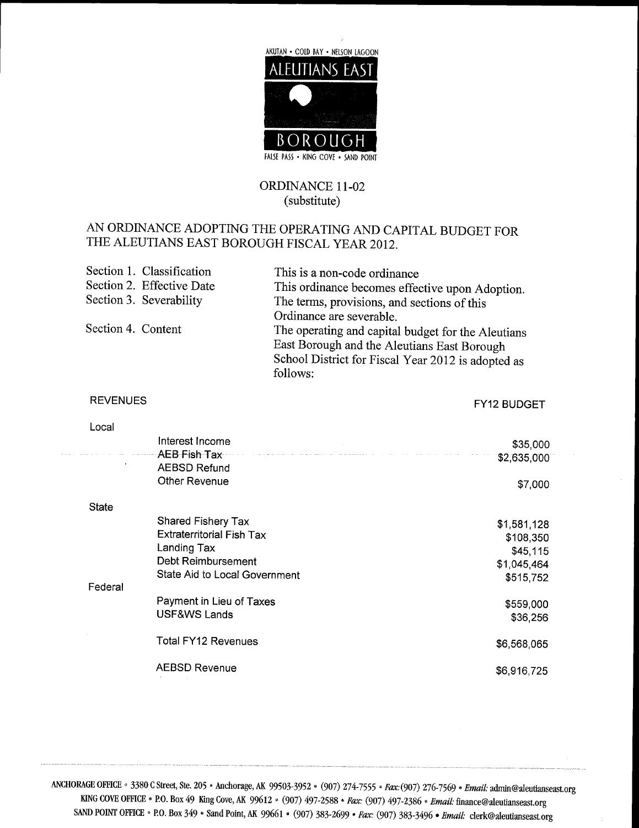

## ORDINANCE 11-02 (substitute)

## AN ORDINANCE ADOPTING THE OPERATING AND CAPITAL BUDGET FOR THE ALEUTIANS EAST BOROUGH FISCAL YEAR 2012

| Section 4. Content | Section 1. Classification<br>Section 2. Effective Date<br>Section 3. Severability | This is a non-code ordinance<br>This ordinance becomes effective upon Adoption.<br>The terms, provisions, and sections of this<br>Ordinance are severable.<br>The operating and capital budget for the Aleutians<br>East Borough and the Aleutians East Borough<br>School District for Fiscal Year 2012 is adopted as<br>follows: |
|--------------------|-----------------------------------------------------------------------------------|-----------------------------------------------------------------------------------------------------------------------------------------------------------------------------------------------------------------------------------------------------------------------------------------------------------------------------------|
| <b>REVENUES</b>    |                                                                                   | FY12 BUDGET                                                                                                                                                                                                                                                                                                                       |
| Local              |                                                                                   |                                                                                                                                                                                                                                                                                                                                   |
|                    | Interest Income                                                                   | \$35,000                                                                                                                                                                                                                                                                                                                          |
|                    | — AEB Fish Tax                                                                    | \$2,635,000                                                                                                                                                                                                                                                                                                                       |
|                    | <b>AEBSD Refund</b><br>Other Revenue                                              | \$7,000                                                                                                                                                                                                                                                                                                                           |
|                    |                                                                                   |                                                                                                                                                                                                                                                                                                                                   |
| <b>State</b>       |                                                                                   |                                                                                                                                                                                                                                                                                                                                   |
|                    | Shared Fishery Tax                                                                | \$1,581,128                                                                                                                                                                                                                                                                                                                       |
|                    | <b>Extraterritorial Fish Tax</b><br>Landing Tax                                   | \$108,350                                                                                                                                                                                                                                                                                                                         |
|                    | Debt Reimbursement                                                                | \$45,115                                                                                                                                                                                                                                                                                                                          |
|                    | State Aid to Local Government                                                     | \$1,045,464                                                                                                                                                                                                                                                                                                                       |
| Federal            |                                                                                   | \$515,752                                                                                                                                                                                                                                                                                                                         |
|                    | Payment in Lieu of Taxes                                                          | \$559,000                                                                                                                                                                                                                                                                                                                         |
|                    | <b>USF&amp;WS Lands</b>                                                           | \$36,256                                                                                                                                                                                                                                                                                                                          |
|                    | <b>Total FY12 Revenues</b>                                                        | \$6,568,065                                                                                                                                                                                                                                                                                                                       |
|                    | <b>AEBSD Revenue</b>                                                              | \$6,916,725                                                                                                                                                                                                                                                                                                                       |
|                    |                                                                                   |                                                                                                                                                                                                                                                                                                                                   |

 $\sim$   $\sim$ 

ANCHORAGE OFFICE \* 3380 C Street, Ste. 205 \* Anchorage, AK 99503-3952 \* (907) 274-7555 \* Fax: (907) 276-7569 \* Email: KING COVE OFFICE • P.O. Box 49 King Cove, AK 99612 • (907) 497-2588 • Pax: (907) 497-2386 • Email admin@aleutianseast org SAND POINT OFFICE . P.O. Box *Filmail: admin@aleutian*<br>Finance@aleutianseast.org<br>*iil: clerk@aleutianseast.org* te. 205 • Anchorage, AK 99503-3952 • (907) 274-7555 • Fax: (907) 276-7569 • Email: admin@aleutianse<br>49 King Cove, AK 99612 • (907) 497-2588 • Fax: (907) 497-2386 • Email: finance@aleutianseast.org<br>349 • Sand Point, AK 9966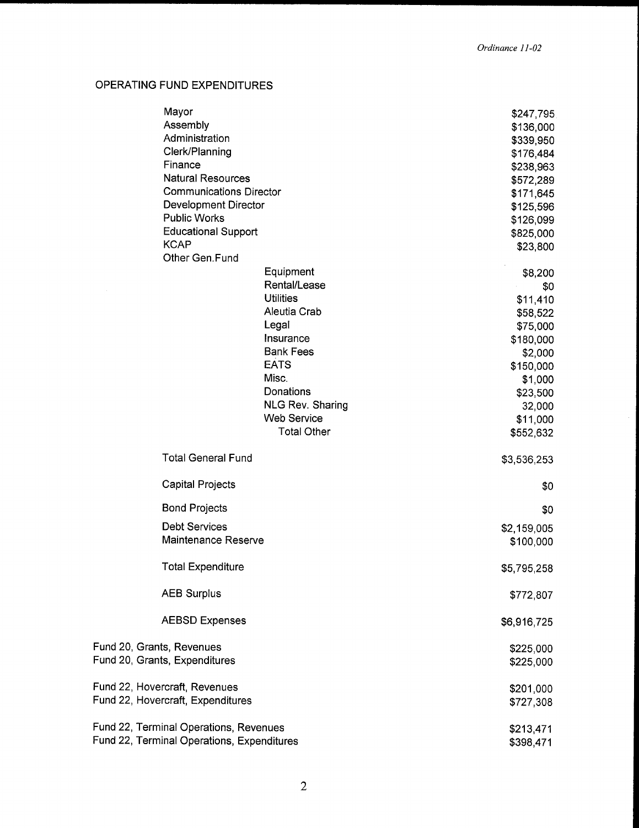## OPERATING FUND EXPENDITURES

| Mayor                                                                                |                         | \$247,795              |
|--------------------------------------------------------------------------------------|-------------------------|------------------------|
| Assembly                                                                             |                         | \$136,000              |
| Administration                                                                       |                         | \$339,950              |
| Clerk/Planning                                                                       |                         | \$176,484              |
| Finance                                                                              |                         | \$238,963              |
| <b>Natural Resources</b>                                                             |                         | \$572,289              |
| <b>Communications Director</b>                                                       |                         | \$171,645              |
| Development Director                                                                 |                         | \$125,596              |
| Public Works                                                                         |                         | \$126,099              |
| <b>Educational Support</b>                                                           |                         | \$825,000              |
| <b>KCAP</b>                                                                          |                         | \$23,800               |
| Other Gen.Fund                                                                       |                         |                        |
|                                                                                      | Equipment               | \$8,200                |
|                                                                                      | Rental/Lease            | \$0                    |
|                                                                                      | <b>Utilities</b>        | \$11,410               |
|                                                                                      | Aleutia Crab            | \$58,522               |
|                                                                                      | Legal                   | \$75,000               |
|                                                                                      | Insurance               | \$180,000              |
|                                                                                      | <b>Bank Fees</b>        | \$2,000                |
|                                                                                      | <b>EATS</b>             | \$150,000              |
|                                                                                      | Misc.                   | \$1,000                |
|                                                                                      | Donations               | \$23,500               |
|                                                                                      | <b>NLG Rev. Sharing</b> | 32,000                 |
|                                                                                      | <b>Web Service</b>      | \$11,000               |
|                                                                                      | <b>Total Other</b>      | \$552,632              |
| <b>Total General Fund</b>                                                            |                         | \$3,536,253            |
| <b>Capital Projects</b>                                                              |                         | \$0                    |
| <b>Bond Projects</b>                                                                 |                         | \$0                    |
| <b>Debt Services</b>                                                                 |                         | \$2,159,005            |
| <b>Maintenance Reserve</b>                                                           |                         | \$100,000              |
| <b>Total Expenditure</b>                                                             |                         | \$5,795,258            |
| <b>AEB Surplus</b>                                                                   |                         | \$772,807              |
| <b>AEBSD Expenses</b>                                                                |                         | \$6,916,725            |
| Fund 20, Grants, Revenues<br>Fund 20, Grants, Expenditures                           |                         | \$225,000<br>\$225,000 |
| Fund 22, Hovercraft, Revenues<br>Fund 22, Hovercraft, Expenditures                   |                         | \$201,000<br>\$727,308 |
| Fund 22, Terminal Operations, Revenues<br>Fund 22, Terminal Operations, Expenditures |                         | \$213,471<br>\$398,471 |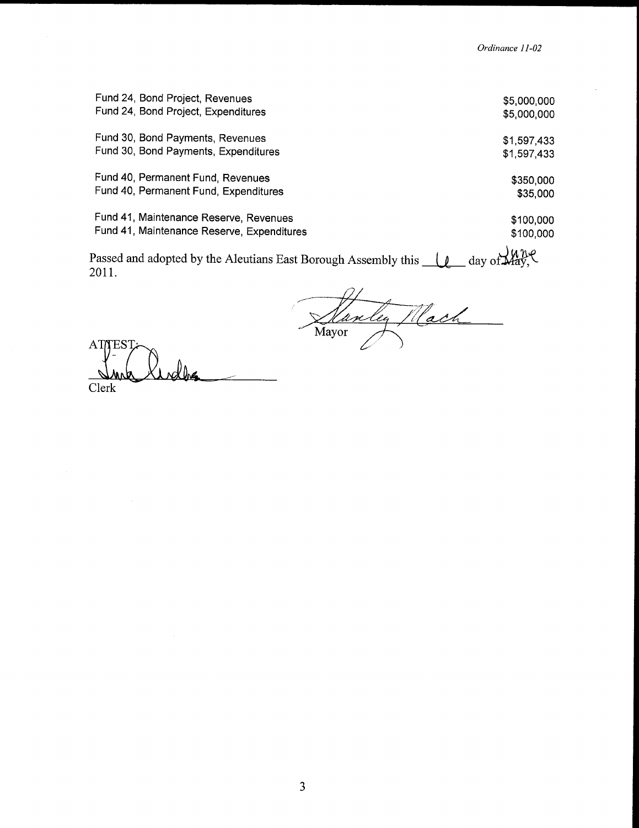|                                                                        | Ordinance 11-02        |
|------------------------------------------------------------------------|------------------------|
|                                                                        |                        |
| Fund 24, Bond Project, Revenues<br>Fund 24, Bond Project, Expenditures | \$5,000,000            |
|                                                                        | \$5,000,000            |
| Fund 30, Bond Payments, Revenues                                       | \$1,597,433            |
| Fund 30, Bond Payments, Expenditures                                   | \$1,597,433            |
| Fund 40, Permanent Fund, Revenues                                      | \$350,000              |
| Fund 40, Permanent Fund, Expenditures                                  | \$35,000               |
| Fund 41, Maintenance Reserve, Revenues                                 |                        |
| Fund 41, Maintenance Reserve, Expenditures                             | \$100,000<br>\$100,000 |
|                                                                        |                        |

Passed and adopted by the Aleutians East Borough Assembly this  $\bigcup_{\text{day of } \text{May}} \bigcup_{\text{day of } \text{May}}$ 2011

Stanley Mach

**ATTEST** rdbe Clerk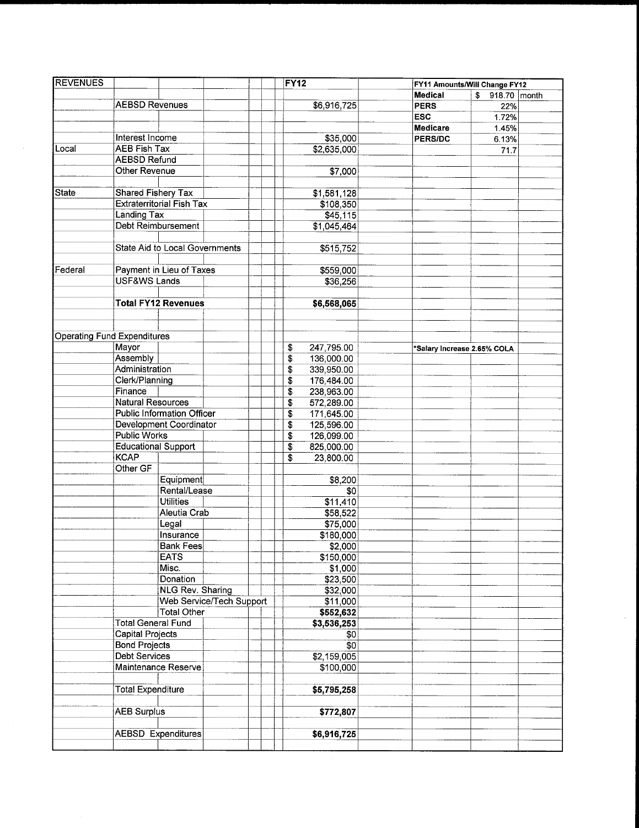| <b>REVENUES</b>                    |                           |                                   |                                 | <b>FY12</b> |                          | FY11 Amounts/Will Change FY12 |                    |  |
|------------------------------------|---------------------------|-----------------------------------|---------------------------------|-------------|--------------------------|-------------------------------|--------------------|--|
|                                    |                           |                                   |                                 |             |                          | <b>Medical</b>                | \$<br>918.70 month |  |
|                                    | <b>AEBSD Revenues</b>     |                                   |                                 |             | \$6,916,725              | <b>PERS</b>                   | 22%                |  |
|                                    |                           |                                   |                                 |             |                          | <b>ESC</b>                    | 1.72%              |  |
|                                    |                           |                                   |                                 |             |                          | <b>Medicare</b>               | 1.45%              |  |
|                                    | Interest Income           |                                   |                                 |             | \$35,000                 | PERS/DC                       | 6.13%              |  |
| Local                              | <b>AEB Fish Tax</b>       |                                   |                                 |             | \$2,635,000              |                               | 71.7               |  |
|                                    | <b>AEBSD Refund</b>       |                                   |                                 |             |                          |                               |                    |  |
|                                    | Other Revenue             |                                   |                                 |             | \$7,000                  |                               |                    |  |
| <b>State</b>                       | Shared Fishery Tax        |                                   |                                 |             |                          |                               |                    |  |
|                                    |                           | <b>Extraterritorial Fish Tax</b>  |                                 |             | \$1,581,128<br>\$108,350 |                               |                    |  |
|                                    | <b>Landing Tax</b>        |                                   |                                 |             | \$45,115                 |                               |                    |  |
|                                    |                           | Debt Reimbursement                |                                 |             | \$1,045,464              |                               |                    |  |
|                                    |                           |                                   |                                 |             |                          |                               |                    |  |
|                                    |                           | State Aid to Local Governments    |                                 |             | \$515,752                |                               |                    |  |
|                                    |                           |                                   |                                 |             |                          |                               |                    |  |
| Federal                            |                           | Payment in Lieu of Taxes          |                                 |             | \$559,000                |                               |                    |  |
|                                    | <b>USF&amp;WS Lands</b>   |                                   |                                 |             | \$36,256                 |                               |                    |  |
|                                    |                           |                                   |                                 |             |                          |                               |                    |  |
|                                    |                           | <b>Total FY12 Revenues</b>        |                                 |             | \$6,568,065              |                               |                    |  |
|                                    |                           |                                   |                                 |             |                          |                               |                    |  |
|                                    |                           |                                   |                                 |             |                          |                               |                    |  |
| <b>Operating Fund Expenditures</b> |                           |                                   |                                 |             |                          |                               |                    |  |
|                                    | Mayor                     |                                   |                                 | \$          | 247,795.00               | *Salary Increase 2.65% COLA   |                    |  |
|                                    | Assembly                  |                                   |                                 | \$          | 136,000.00               |                               |                    |  |
|                                    | Administration            |                                   |                                 | \$          | 339,950.00               |                               |                    |  |
|                                    | Clerk/Planning            |                                   |                                 | \$          | 176,484.00               |                               |                    |  |
|                                    | Finance                   |                                   |                                 | \$          | 238,963.00               |                               |                    |  |
|                                    | <b>Natural Resources</b>  |                                   |                                 | \$          | 572,289.00               |                               |                    |  |
|                                    |                           | <b>Public Information Officer</b> |                                 | \$          | 171,645.00               |                               |                    |  |
|                                    |                           | Development Coordinator           |                                 | \$          | 125,596.00               |                               |                    |  |
|                                    | <b>Public Works</b>       |                                   |                                 | \$          | 126,099.00               |                               |                    |  |
|                                    | <b>KCAP</b>               | <b>Educational Support</b>        |                                 | \$          | 825,000.00               |                               |                    |  |
|                                    | Other GF                  |                                   |                                 | \$          | 23,800.00                |                               |                    |  |
|                                    |                           | Equipment                         |                                 |             | \$8,200                  |                               |                    |  |
|                                    |                           | Rental/Lease                      |                                 |             | $\overline{30}$          |                               |                    |  |
|                                    |                           | <b>Utilities</b>                  |                                 |             | \$11,410                 |                               |                    |  |
|                                    |                           | Aleutia Crab                      |                                 |             | \$58,522                 |                               |                    |  |
|                                    |                           | Legal                             |                                 |             | \$75,000                 |                               |                    |  |
|                                    |                           | Insurance                         |                                 |             | \$180,000                |                               |                    |  |
|                                    |                           | <b>Bank Fees</b>                  |                                 |             | \$2,000                  |                               |                    |  |
|                                    |                           | <b>EATS</b>                       |                                 |             | \$150,000                |                               |                    |  |
|                                    |                           | Misc.                             |                                 |             | \$1,000                  |                               |                    |  |
|                                    |                           | Donation                          |                                 |             | \$23,500                 |                               |                    |  |
|                                    |                           | <b>NLG Rev. Sharing</b>           |                                 |             | \$32,000                 |                               |                    |  |
|                                    |                           |                                   | <b>Web Service/Tech Support</b> |             | \$11,000                 |                               |                    |  |
|                                    |                           | <b>Total Other</b>                |                                 |             | \$552,632                |                               |                    |  |
|                                    | <b>Total General Fund</b> |                                   |                                 |             | \$3,536,253              |                               |                    |  |
|                                    | <b>Capital Projects</b>   |                                   |                                 |             | \$0                      |                               |                    |  |
|                                    | <b>Bond Projects</b>      |                                   |                                 |             | $\overline{30}$          |                               |                    |  |
|                                    | <b>Debt Services</b>      |                                   |                                 |             | \$2,159,005              |                               |                    |  |
|                                    |                           | Maintenance Reserve               |                                 |             | \$100,000                |                               |                    |  |
|                                    |                           |                                   |                                 |             |                          |                               |                    |  |
|                                    | <b>Total Expenditure</b>  |                                   |                                 |             | \$5,795,258              |                               |                    |  |
|                                    |                           |                                   |                                 |             |                          |                               |                    |  |
|                                    | <b>AEB Surplus</b>        |                                   |                                 |             | \$772,807                |                               |                    |  |
|                                    |                           |                                   |                                 |             |                          |                               |                    |  |
|                                    |                           | <b>AEBSD Expenditures</b>         |                                 |             | \$6,916,725              |                               |                    |  |
|                                    |                           |                                   |                                 |             |                          |                               |                    |  |

 $\frac{1}{2}$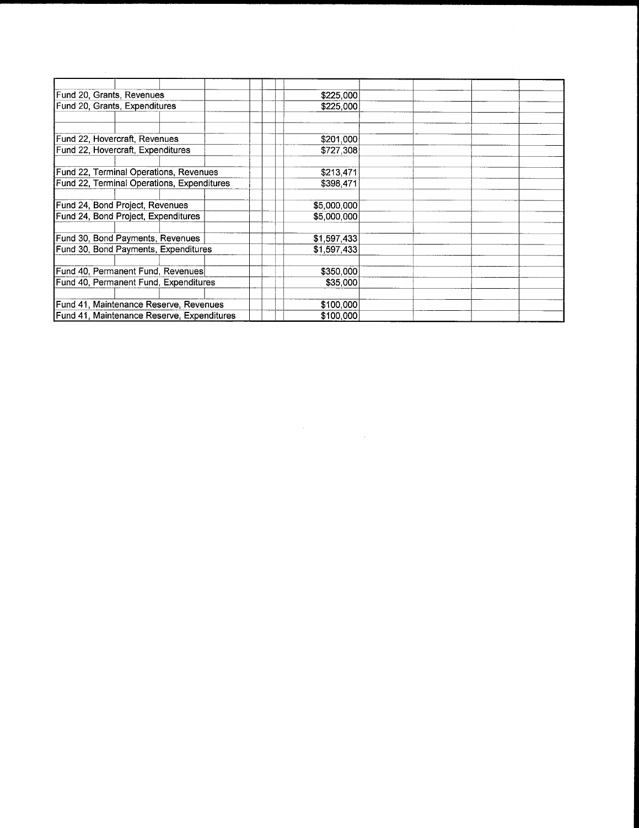| Fund 20, Grants, Revenues                  | \$225,000   |  |
|--------------------------------------------|-------------|--|
| Fund 20, Grants, Expenditures              | \$225,000   |  |
| Fund 22, Hovercraft, Revenues              | \$201,000   |  |
| Fund 22, Hovercraft, Expenditures          | \$727,308   |  |
| Fund 22, Terminal Operations, Revenues     | \$213,471   |  |
| Fund 22, Terminal Operations, Expenditures | \$398,471   |  |
| Fund 24, Bond Project, Revenues            | \$5,000,000 |  |
| Fund 24, Bond Project, Expenditures        | \$5,000,000 |  |
| Fund 30, Bond Payments, Revenues           | \$1,597,433 |  |
| Fund 30, Bond Payments, Expenditures       | \$1,597,433 |  |
| Fund 40, Permanent Fund, Revenues          | \$350,000   |  |
| Fund 40, Permanent Fund, Expenditures      | \$35,000    |  |
| Fund 41, Maintenance Reserve, Revenues     | \$100,000   |  |
| Fund 41, Maintenance Reserve, Expenditures | \$100,000   |  |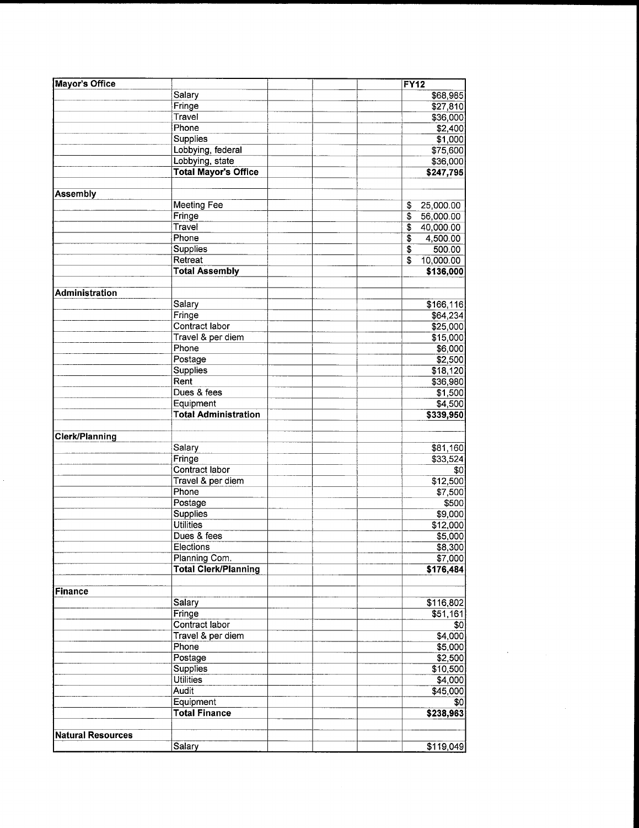| <b>Mayor's Office</b>    |                             |  | <b>FY12</b>                            |           |
|--------------------------|-----------------------------|--|----------------------------------------|-----------|
|                          | Salary                      |  |                                        | \$68,985  |
|                          | Fringe                      |  |                                        | \$27,810  |
|                          | Travel                      |  |                                        | \$36,000  |
|                          | Phone                       |  |                                        | \$2,400   |
|                          | Supplies                    |  |                                        | \$1,000   |
|                          | Lobbying, federal           |  |                                        | \$75,600  |
|                          | Lobbying, state             |  |                                        | \$36,000  |
|                          | <b>Total Mayor's Office</b> |  |                                        | \$247,795 |
| <b>Assembly</b>          |                             |  |                                        |           |
|                          | <b>Meeting Fee</b>          |  | \$                                     | 25,000.00 |
|                          | Fringe                      |  | \$                                     | 56,000.00 |
|                          | Travel                      |  | \$                                     | 40,000.00 |
|                          | Phone                       |  | $\overline{\boldsymbol{\mathfrak{s}}}$ | 4,500.00  |
|                          | Supplies                    |  | \$                                     | 500.00    |
|                          | Retreat                     |  | \$                                     | 10,000.00 |
|                          | <b>Total Assembly</b>       |  |                                        |           |
|                          |                             |  |                                        | \$136,000 |
| <b>Administration</b>    |                             |  |                                        |           |
|                          | Salary                      |  |                                        | \$166,116 |
|                          | Fringe                      |  |                                        | \$64,234  |
|                          | Contract labor              |  |                                        | \$25,000  |
|                          | Travel & per diem           |  |                                        | \$15,000  |
|                          | Phone                       |  |                                        | \$6,000   |
|                          | Postage                     |  |                                        | \$2,500   |
|                          | <b>Supplies</b>             |  |                                        | \$18,120  |
|                          | Rent                        |  |                                        | \$36,980  |
|                          | Dues & fees                 |  |                                        | \$1,500   |
|                          | Equipment                   |  |                                        | \$4,500   |
|                          | <b>Total Administration</b> |  |                                        | \$339,950 |
| <b>Clerk/Planning</b>    |                             |  |                                        |           |
|                          | Salary                      |  |                                        | \$81,160  |
|                          | Fringe                      |  |                                        | \$33,524  |
|                          | Contract labor              |  |                                        |           |
|                          |                             |  |                                        | \$0       |
|                          | Travel & per diem<br>Phone  |  |                                        | \$12,500  |
|                          |                             |  |                                        | \$7,500   |
|                          | Postage                     |  |                                        | \$500     |
|                          | Supplies                    |  |                                        | \$9,000   |
|                          | <b>Utilities</b>            |  |                                        | \$12,000  |
|                          | Dues & fees                 |  |                                        | \$5,000   |
|                          | Elections                   |  |                                        | \$8,300   |
|                          | Planning Com.               |  |                                        | \$7,000   |
|                          | <b>Total Clerk/Planning</b> |  |                                        | \$176,484 |
| Finance                  |                             |  |                                        |           |
|                          | Salary                      |  |                                        | \$116,802 |
|                          | Fringe                      |  |                                        | \$51,161  |
|                          | Contract labor              |  |                                        | \$0       |
|                          | Travel & per diem           |  |                                        | \$4,000   |
|                          | Phone                       |  |                                        | \$5,000   |
|                          | Postage                     |  |                                        | \$2,500   |
|                          | <b>Supplies</b>             |  |                                        | \$10,500  |
|                          | <b>Utilities</b>            |  |                                        | \$4,000   |
|                          | <b>Audit</b>                |  |                                        |           |
|                          |                             |  |                                        | \$45,000  |
|                          | Equipment                   |  |                                        | \$0       |
|                          | <b>Total Finance</b>        |  |                                        | \$238,963 |
| <b>Natural Resources</b> |                             |  |                                        |           |
|                          | Salary                      |  |                                        | \$119,049 |

i<br>S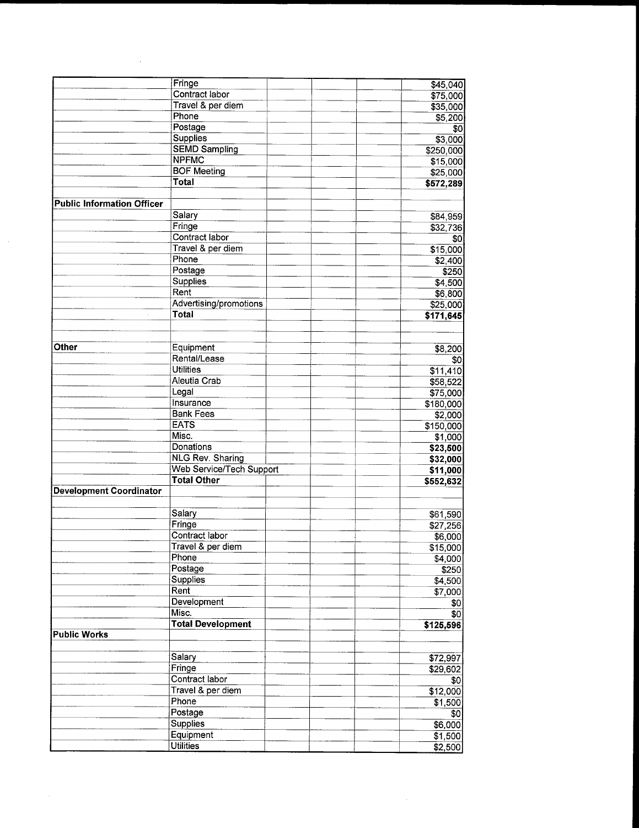| Fringe                            | \$45,040                                                                                                                                                                                                                                                                                                                                                                                                                                                                                                                                                                                                                                                                                                                              |
|-----------------------------------|---------------------------------------------------------------------------------------------------------------------------------------------------------------------------------------------------------------------------------------------------------------------------------------------------------------------------------------------------------------------------------------------------------------------------------------------------------------------------------------------------------------------------------------------------------------------------------------------------------------------------------------------------------------------------------------------------------------------------------------|
|                                   | \$75,000                                                                                                                                                                                                                                                                                                                                                                                                                                                                                                                                                                                                                                                                                                                              |
|                                   | \$35,000                                                                                                                                                                                                                                                                                                                                                                                                                                                                                                                                                                                                                                                                                                                              |
|                                   | \$5,200                                                                                                                                                                                                                                                                                                                                                                                                                                                                                                                                                                                                                                                                                                                               |
|                                   | \$0                                                                                                                                                                                                                                                                                                                                                                                                                                                                                                                                                                                                                                                                                                                                   |
| <b>Supplies</b>                   | \$3,000                                                                                                                                                                                                                                                                                                                                                                                                                                                                                                                                                                                                                                                                                                                               |
|                                   | \$250,000                                                                                                                                                                                                                                                                                                                                                                                                                                                                                                                                                                                                                                                                                                                             |
|                                   | \$15,000                                                                                                                                                                                                                                                                                                                                                                                                                                                                                                                                                                                                                                                                                                                              |
|                                   | \$25,000                                                                                                                                                                                                                                                                                                                                                                                                                                                                                                                                                                                                                                                                                                                              |
| <b>Total</b>                      | \$572,289                                                                                                                                                                                                                                                                                                                                                                                                                                                                                                                                                                                                                                                                                                                             |
|                                   |                                                                                                                                                                                                                                                                                                                                                                                                                                                                                                                                                                                                                                                                                                                                       |
|                                   |                                                                                                                                                                                                                                                                                                                                                                                                                                                                                                                                                                                                                                                                                                                                       |
|                                   | \$84,959                                                                                                                                                                                                                                                                                                                                                                                                                                                                                                                                                                                                                                                                                                                              |
|                                   | \$32,736                                                                                                                                                                                                                                                                                                                                                                                                                                                                                                                                                                                                                                                                                                                              |
| Contract labor                    | \$0                                                                                                                                                                                                                                                                                                                                                                                                                                                                                                                                                                                                                                                                                                                                   |
|                                   | \$15,000                                                                                                                                                                                                                                                                                                                                                                                                                                                                                                                                                                                                                                                                                                                              |
|                                   | \$2,400                                                                                                                                                                                                                                                                                                                                                                                                                                                                                                                                                                                                                                                                                                                               |
|                                   | \$250                                                                                                                                                                                                                                                                                                                                                                                                                                                                                                                                                                                                                                                                                                                                 |
|                                   | \$4,500                                                                                                                                                                                                                                                                                                                                                                                                                                                                                                                                                                                                                                                                                                                               |
|                                   | \$6,800                                                                                                                                                                                                                                                                                                                                                                                                                                                                                                                                                                                                                                                                                                                               |
|                                   | \$25,000                                                                                                                                                                                                                                                                                                                                                                                                                                                                                                                                                                                                                                                                                                                              |
|                                   |                                                                                                                                                                                                                                                                                                                                                                                                                                                                                                                                                                                                                                                                                                                                       |
|                                   | \$171,645                                                                                                                                                                                                                                                                                                                                                                                                                                                                                                                                                                                                                                                                                                                             |
|                                   |                                                                                                                                                                                                                                                                                                                                                                                                                                                                                                                                                                                                                                                                                                                                       |
|                                   | \$8,200                                                                                                                                                                                                                                                                                                                                                                                                                                                                                                                                                                                                                                                                                                                               |
|                                   | \$0                                                                                                                                                                                                                                                                                                                                                                                                                                                                                                                                                                                                                                                                                                                                   |
|                                   |                                                                                                                                                                                                                                                                                                                                                                                                                                                                                                                                                                                                                                                                                                                                       |
|                                   | \$11,410                                                                                                                                                                                                                                                                                                                                                                                                                                                                                                                                                                                                                                                                                                                              |
|                                   | \$58,522                                                                                                                                                                                                                                                                                                                                                                                                                                                                                                                                                                                                                                                                                                                              |
|                                   | \$75,000                                                                                                                                                                                                                                                                                                                                                                                                                                                                                                                                                                                                                                                                                                                              |
|                                   | \$180,000                                                                                                                                                                                                                                                                                                                                                                                                                                                                                                                                                                                                                                                                                                                             |
|                                   | \$2,000                                                                                                                                                                                                                                                                                                                                                                                                                                                                                                                                                                                                                                                                                                                               |
|                                   | \$150,000                                                                                                                                                                                                                                                                                                                                                                                                                                                                                                                                                                                                                                                                                                                             |
|                                   | \$1,000                                                                                                                                                                                                                                                                                                                                                                                                                                                                                                                                                                                                                                                                                                                               |
|                                   | \$23,500                                                                                                                                                                                                                                                                                                                                                                                                                                                                                                                                                                                                                                                                                                                              |
|                                   | \$32,000                                                                                                                                                                                                                                                                                                                                                                                                                                                                                                                                                                                                                                                                                                                              |
|                                   | \$11,000                                                                                                                                                                                                                                                                                                                                                                                                                                                                                                                                                                                                                                                                                                                              |
|                                   | \$552,632                                                                                                                                                                                                                                                                                                                                                                                                                                                                                                                                                                                                                                                                                                                             |
|                                   |                                                                                                                                                                                                                                                                                                                                                                                                                                                                                                                                                                                                                                                                                                                                       |
|                                   |                                                                                                                                                                                                                                                                                                                                                                                                                                                                                                                                                                                                                                                                                                                                       |
|                                   | \$61,590                                                                                                                                                                                                                                                                                                                                                                                                                                                                                                                                                                                                                                                                                                                              |
| Fringe                            | \$27,256                                                                                                                                                                                                                                                                                                                                                                                                                                                                                                                                                                                                                                                                                                                              |
|                                   | \$6,000                                                                                                                                                                                                                                                                                                                                                                                                                                                                                                                                                                                                                                                                                                                               |
|                                   | \$15,000                                                                                                                                                                                                                                                                                                                                                                                                                                                                                                                                                                                                                                                                                                                              |
|                                   | \$4,000                                                                                                                                                                                                                                                                                                                                                                                                                                                                                                                                                                                                                                                                                                                               |
|                                   | \$250                                                                                                                                                                                                                                                                                                                                                                                                                                                                                                                                                                                                                                                                                                                                 |
|                                   | \$4,500                                                                                                                                                                                                                                                                                                                                                                                                                                                                                                                                                                                                                                                                                                                               |
|                                   | \$7,000                                                                                                                                                                                                                                                                                                                                                                                                                                                                                                                                                                                                                                                                                                                               |
|                                   |                                                                                                                                                                                                                                                                                                                                                                                                                                                                                                                                                                                                                                                                                                                                       |
|                                   | \$0                                                                                                                                                                                                                                                                                                                                                                                                                                                                                                                                                                                                                                                                                                                                   |
|                                   | \$0                                                                                                                                                                                                                                                                                                                                                                                                                                                                                                                                                                                                                                                                                                                                   |
|                                   | \$125,596                                                                                                                                                                                                                                                                                                                                                                                                                                                                                                                                                                                                                                                                                                                             |
|                                   |                                                                                                                                                                                                                                                                                                                                                                                                                                                                                                                                                                                                                                                                                                                                       |
|                                   |                                                                                                                                                                                                                                                                                                                                                                                                                                                                                                                                                                                                                                                                                                                                       |
|                                   | \$72,997                                                                                                                                                                                                                                                                                                                                                                                                                                                                                                                                                                                                                                                                                                                              |
|                                   | \$29,602                                                                                                                                                                                                                                                                                                                                                                                                                                                                                                                                                                                                                                                                                                                              |
|                                   | \$0                                                                                                                                                                                                                                                                                                                                                                                                                                                                                                                                                                                                                                                                                                                                   |
|                                   | \$12,000                                                                                                                                                                                                                                                                                                                                                                                                                                                                                                                                                                                                                                                                                                                              |
|                                   | \$1,500                                                                                                                                                                                                                                                                                                                                                                                                                                                                                                                                                                                                                                                                                                                               |
|                                   | $\overline{30}$                                                                                                                                                                                                                                                                                                                                                                                                                                                                                                                                                                                                                                                                                                                       |
| <b>Supplies</b>                   | \$6,000                                                                                                                                                                                                                                                                                                                                                                                                                                                                                                                                                                                                                                                                                                                               |
| Equipment                         | \$1,500                                                                                                                                                                                                                                                                                                                                                                                                                                                                                                                                                                                                                                                                                                                               |
|                                   |                                                                                                                                                                                                                                                                                                                                                                                                                                                                                                                                                                                                                                                                                                                                       |
| <b>Public Information Officer</b> | Contract labor<br>Travel & per diem<br>Phone<br>Postage<br><b>SEMD Sampling</b><br><b>NPFMC</b><br><b>BOF</b> Meeting<br>Salary<br>Fringe<br>Travel & per diem<br>Phone<br>Postage<br><b>Supplies</b><br>Rent<br>Advertising/promotions<br><b>Total</b><br>Equipment<br>Rental/Lease<br><b>Utilities</b><br>Aleutia Crab<br>Legal<br>Insurance<br><b>Bank Fees</b><br><b>EATS</b><br>Misc.<br>Donations<br><b>NLG Rev. Sharing</b><br><b>Web Service/Tech Support</b><br><b>Total Other</b><br>Salary<br>Contract labor<br>Travel & per diem<br>Phone<br>Postage<br><b>Supplies</b><br>Rent<br><b>Development</b><br>Misc.<br><b>Total Development</b><br>Salary<br>Fringe<br>Contract labor<br>Travel & per diem<br>Phone<br>Postage |

 $\mathcal{A}_{\mathcal{A}}$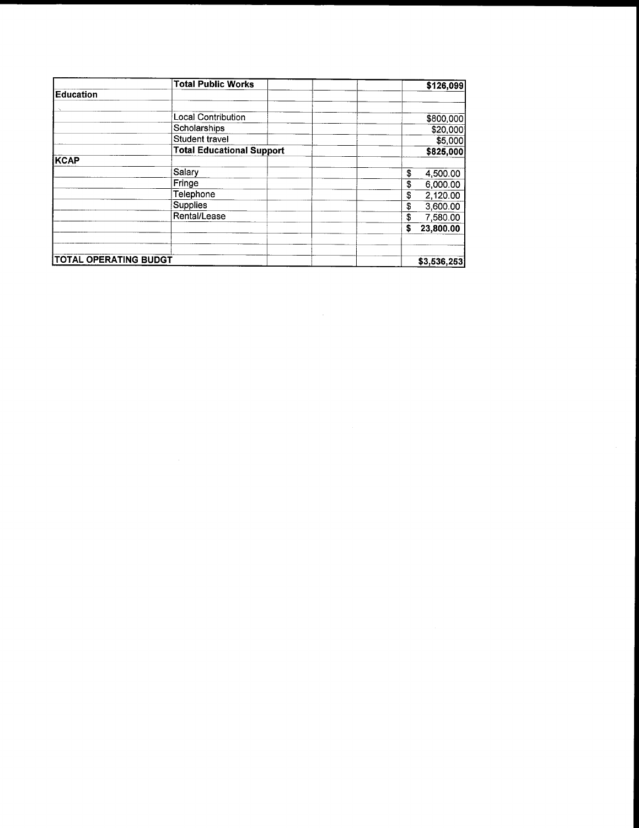|                              | <b>Total Public Works</b>        | \$126,099       |
|------------------------------|----------------------------------|-----------------|
| <b>Education</b>             |                                  |                 |
|                              |                                  |                 |
|                              | Local Contribution               | \$800,000       |
|                              | Scholarships                     | \$20,000        |
|                              | Student travel                   | \$5,000         |
|                              | <b>Total Educational Support</b> | \$825,000       |
| <b>KCAP</b>                  |                                  |                 |
|                              | Salary                           | \$<br>4,500.00  |
|                              | Fringe                           | \$<br>6,000.00  |
|                              | Telephone                        | \$<br>2,120.00  |
|                              | <b>Supplies</b>                  | \$<br>3,600.00  |
|                              | Rental/Lease                     | \$<br>7,580.00  |
|                              |                                  | \$<br>23,800.00 |
|                              |                                  |                 |
| <b>TOTAL OPERATING BUDGT</b> |                                  | \$3,536,253     |